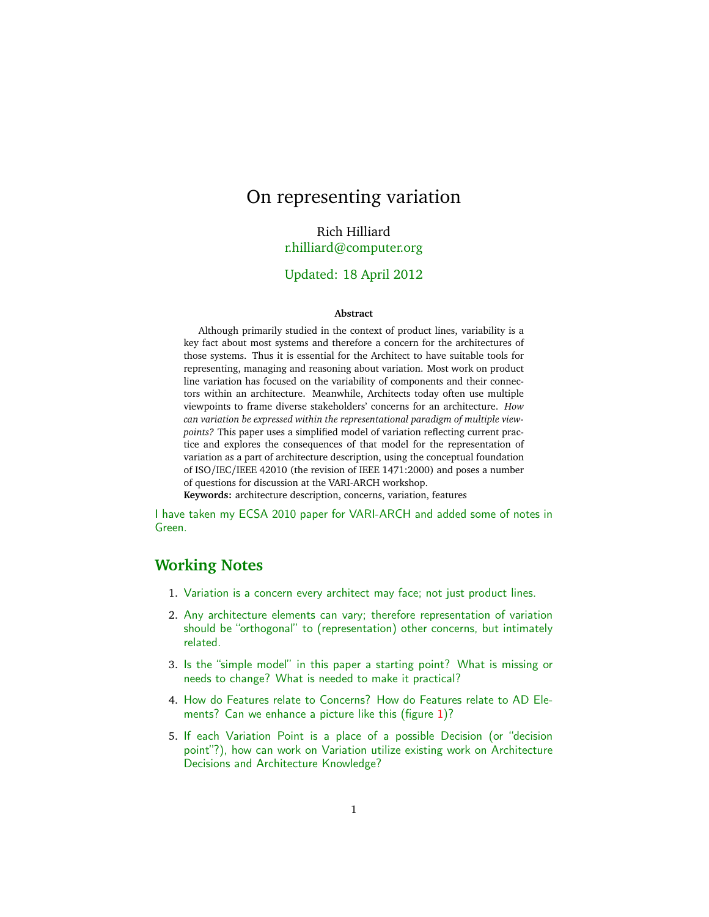# On representing variation

Rich Hilliard [r.hilliard@computer.org](mailto:r.hilliard@computer.org)

#### Updated: 18 April 2012

#### **Abstract**

Although primarily studied in the context of product lines, variability is a key fact about most systems and therefore a concern for the architectures of those systems. Thus it is essential for the Architect to have suitable tools for representing, managing and reasoning about variation. Most work on product line variation has focused on the variability of components and their connectors within an architecture. Meanwhile, Architects today often use multiple viewpoints to frame diverse stakeholders' concerns for an architecture. *How can variation be expressed within the representational paradigm of multiple viewpoints?* This paper uses a simplified model of variation reflecting current practice and explores the consequences of that model for the representation of variation as a part of architecture description, using the conceptual foundation of ISO/IEC/IEEE 42010 (the revision of IEEE 1471:2000) and poses a number of questions for discussion at the VARI-ARCH workshop.

**Keywords:** architecture description, concerns, variation, features

I have taken my ECSA 2010 paper for VARI-ARCH and added some of notes in Green.

### **Working Notes**

- 1. Variation is a concern every architect may face; not just product lines.
- 2. Any architecture elements can vary; therefore representation of variation should be "orthogonal" to (representation) other concerns, but intimately related.
- 3. Is the "simple model" in this paper a starting point? What is missing or needs to change? What is needed to make it practical?
- 4. How do Features relate to Concerns? How do Features relate to AD Elements? Can we enhance a picture like this (figure [1\)](#page-1-0)?
- 5. If each Variation Point is a place of a possible Decision (or "decision point"?), how can work on Variation utilize existing work on Architecture Decisions and Architecture Knowledge?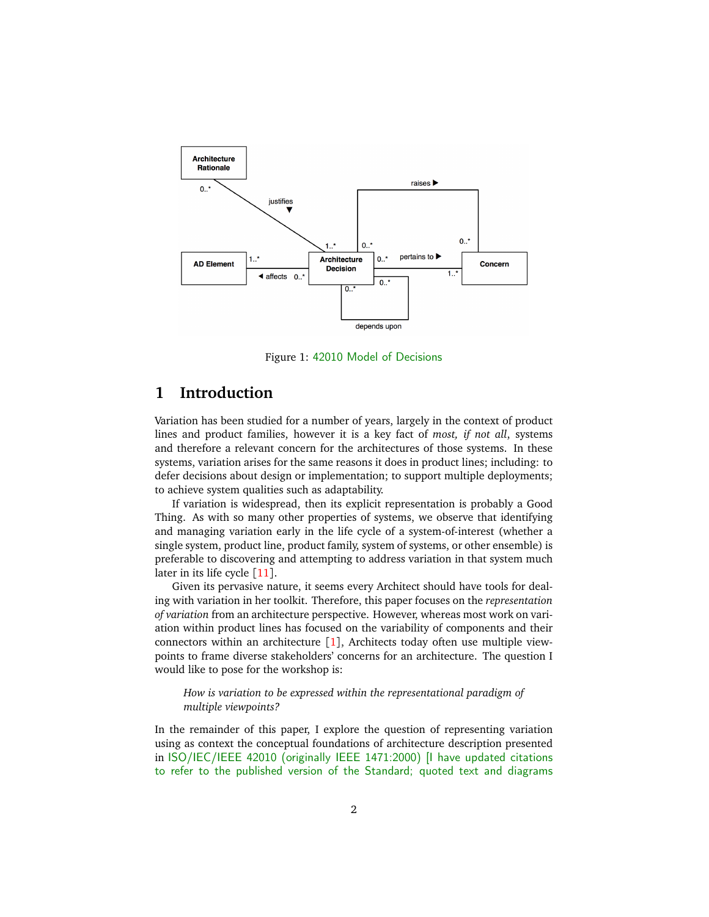

<span id="page-1-0"></span>Figure 1: 42010 Model of Decisions

### **1 Introduction**

Variation has been studied for a number of years, largely in the context of product lines and product families, however it is a key fact of *most, if not all*, systems and therefore a relevant concern for the architectures of those systems. In these systems, variation arises for the same reasons it does in product lines; including: to defer decisions about design or implementation; to support multiple deployments; to achieve system qualities such as adaptability.

If variation is widespread, then its explicit representation is probably a Good Thing. As with so many other properties of systems, we observe that identifying and managing variation early in the life cycle of a system-of-interest (whether a single system, product line, product family, system of systems, or other ensemble) is preferable to discovering and attempting to address variation in that system much later in its life cycle [[11](#page-9-0)].

Given its pervasive nature, it seems every Architect should have tools for dealing with variation in her toolkit. Therefore, this paper focuses on the *representation of variation* from an architecture perspective. However, whereas most work on variation within product lines has focused on the variability of components and their connectors within an architecture [[1](#page-9-1)], Architects today often use multiple viewpoints to frame diverse stakeholders' concerns for an architecture. The question I would like to pose for the workshop is:

*How is variation to be expressed within the representational paradigm of multiple viewpoints?*

In the remainder of this paper, I explore the question of representing variation using as context the conceptual foundations of architecture description presented in ISO/IEC/IEEE 42010 (originally IEEE 1471:2000) [I have updated citations to refer to the published version of the Standard; quoted text and diagrams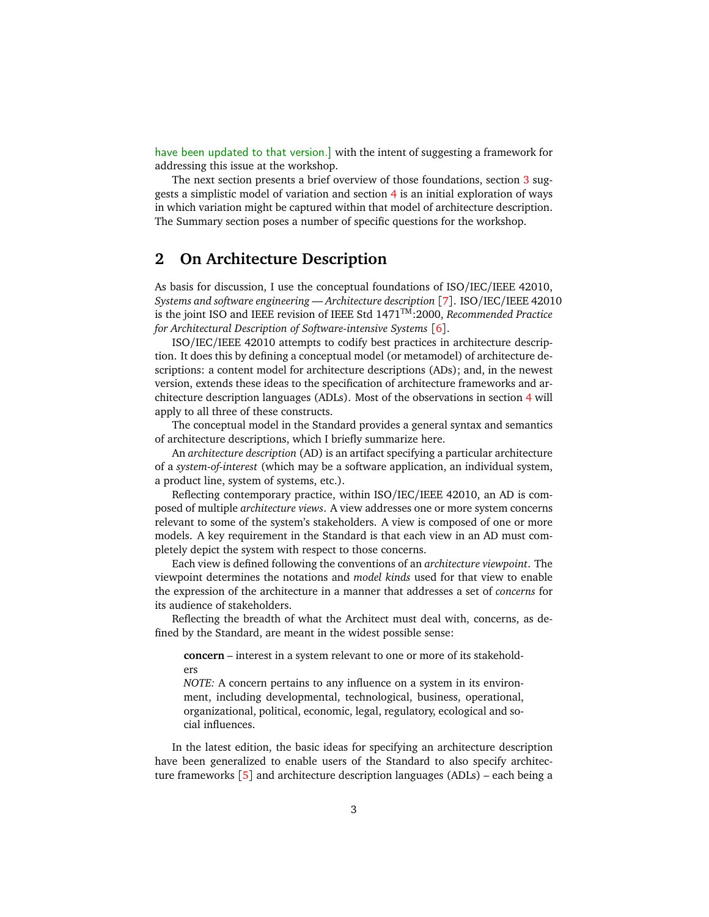have been updated to that version.] with the intent of suggesting a framework for addressing this issue at the workshop.

The next section presents a brief overview of those foundations, section [3](#page-4-0) suggests a simplistic model of variation and section [4](#page-5-0) is an initial exploration of ways in which variation might be captured within that model of architecture description. The Summary section poses a number of specific questions for the workshop.

### **2 On Architecture Description**

As basis for discussion, I use the conceptual foundations of ISO/IEC/IEEE 42010, *Systems and software engineering — Architecture description* [[7](#page-9-2)]. ISO/IEC/IEEE 42010 is the joint ISO and IEEE revision of IEEE Std 1471TM:2000, *Recommended Practice for Architectural Description of Software-intensive Systems* [[6](#page-9-3)].

ISO/IEC/IEEE 42010 attempts to codify best practices in architecture description. It does this by defining a conceptual model (or metamodel) of architecture descriptions: a content model for architecture descriptions (ADs); and, in the newest version, extends these ideas to the specification of architecture frameworks and architecture description languages (ADLs). Most of the observations in section [4](#page-5-0) will apply to all three of these constructs.

The conceptual model in the Standard provides a general syntax and semantics of architecture descriptions, which I briefly summarize here.

An *architecture description* (AD) is an artifact specifying a particular architecture of a *system-of-interest* (which may be a software application, an individual system, a product line, system of systems, etc.).

Reflecting contemporary practice, within ISO/IEC/IEEE 42010, an AD is composed of multiple *architecture views*. A view addresses one or more system concerns relevant to some of the system's stakeholders. A view is composed of one or more models. A key requirement in the Standard is that each view in an AD must completely depict the system with respect to those concerns.

Each view is defined following the conventions of an *architecture viewpoint*. The viewpoint determines the notations and *model kinds* used for that view to enable the expression of the architecture in a manner that addresses a set of *concerns* for its audience of stakeholders.

Reflecting the breadth of what the Architect must deal with, concerns, as defined by the Standard, are meant in the widest possible sense:

**concern** – interest in a system relevant to one or more of its stakeholders

*NOTE:* A concern pertains to any influence on a system in its environment, including developmental, technological, business, operational, organizational, political, economic, legal, regulatory, ecological and social influences.

In the latest edition, the basic ideas for specifying an architecture description have been generalized to enable users of the Standard to also specify architecture frameworks  $[5]$  $[5]$  $[5]$  and architecture description languages (ADLs) – each being a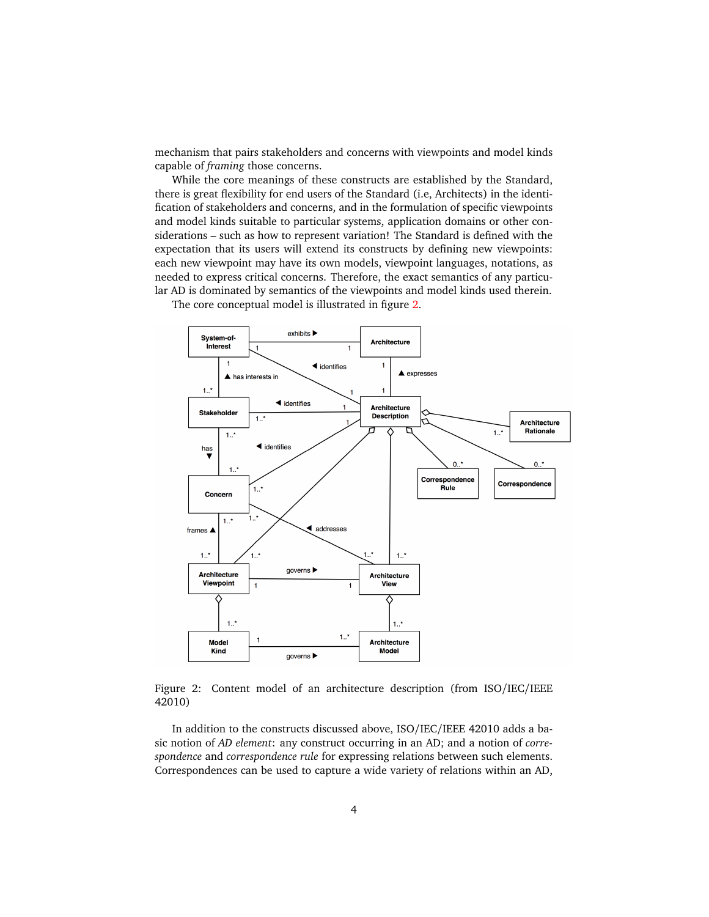mechanism that pairs stakeholders and concerns with viewpoints and model kinds capable of *framing* those concerns.

While the core meanings of these constructs are established by the Standard, there is great flexibility for end users of the Standard (i.e, Architects) in the identification of stakeholders and concerns, and in the formulation of specific viewpoints and model kinds suitable to particular systems, application domains or other considerations – such as how to represent variation! The Standard is defined with the expectation that its users will extend its constructs by defining new viewpoints: each new viewpoint may have its own models, viewpoint languages, notations, as needed to express critical concerns. Therefore, the exact semantics of any particular AD is dominated by semantics of the viewpoints and model kinds used therein.



The core conceptual model is illustrated in figure [2.](#page-3-0)

<span id="page-3-0"></span>Figure 2: Content model of an architecture description (from ISO/IEC/IEEE 42010)

In addition to the constructs discussed above, ISO/IEC/IEEE 42010 adds a basic notion of *AD element*: any construct occurring in an AD; and a notion of *correspondence* and *correspondence rule* for expressing relations between such elements. Correspondences can be used to capture a wide variety of relations within an AD,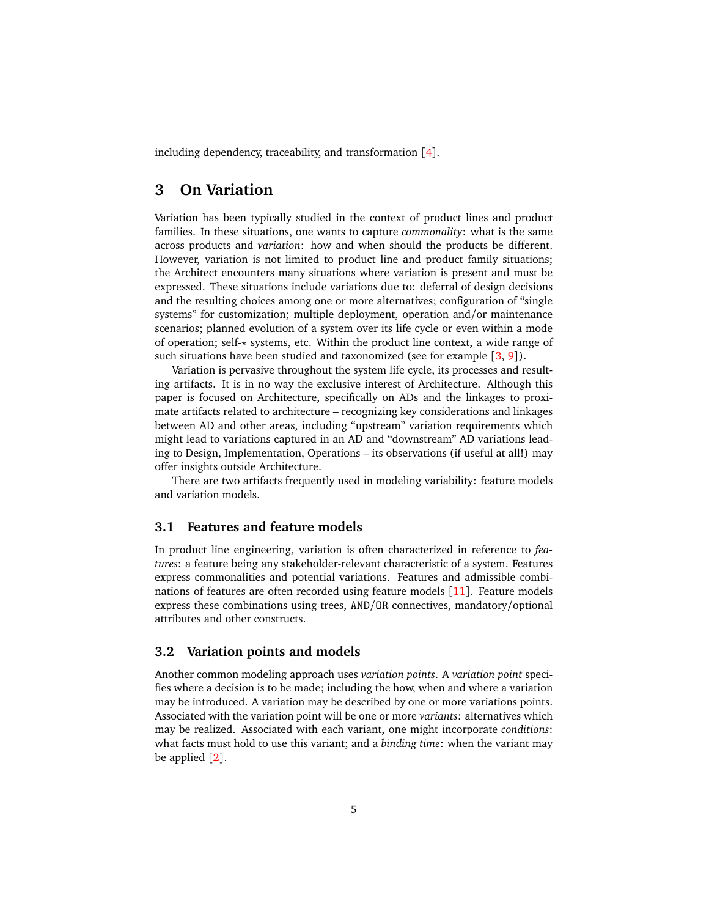including dependency, traceability, and transformation  $[4]$  $[4]$  $[4]$ .

### <span id="page-4-0"></span>**3 On Variation**

Variation has been typically studied in the context of product lines and product families. In these situations, one wants to capture *commonality*: what is the same across products and *variation*: how and when should the products be different. However, variation is not limited to product line and product family situations; the Architect encounters many situations where variation is present and must be expressed. These situations include variations due to: deferral of design decisions and the resulting choices among one or more alternatives; configuration of "single systems" for customization; multiple deployment, operation and/or maintenance scenarios; planned evolution of a system over its life cycle or even within a mode of operation; self-*?* systems, etc. Within the product line context, a wide range of such situations have been studied and taxonomized (see for example  $[3, 9]$  $[3, 9]$  $[3, 9]$  $[3, 9]$  $[3, 9]$ ).

Variation is pervasive throughout the system life cycle, its processes and resulting artifacts. It is in no way the exclusive interest of Architecture. Although this paper is focused on Architecture, specifically on ADs and the linkages to proximate artifacts related to architecture – recognizing key considerations and linkages between AD and other areas, including "upstream" variation requirements which might lead to variations captured in an AD and "downstream" AD variations leading to Design, Implementation, Operations – its observations (if useful at all!) may offer insights outside Architecture.

There are two artifacts frequently used in modeling variability: feature models and variation models.

#### **3.1 Features and feature models**

In product line engineering, variation is often characterized in reference to *features*: a feature being any stakeholder-relevant characteristic of a system. Features express commonalities and potential variations. Features and admissible combinations of features are often recorded using feature models [[11](#page-9-0)]. Feature models express these combinations using trees, AND/OR connectives, mandatory/optional attributes and other constructs.

#### **3.2 Variation points and models**

Another common modeling approach uses *variation points*. A *variation point* specifies where a decision is to be made; including the how, when and where a variation may be introduced. A variation may be described by one or more variations points. Associated with the variation point will be one or more *variants*: alternatives which may be realized. Associated with each variant, one might incorporate *conditions*: what facts must hold to use this variant; and a *binding time*: when the variant may be applied  $[2]$  $[2]$  $[2]$ .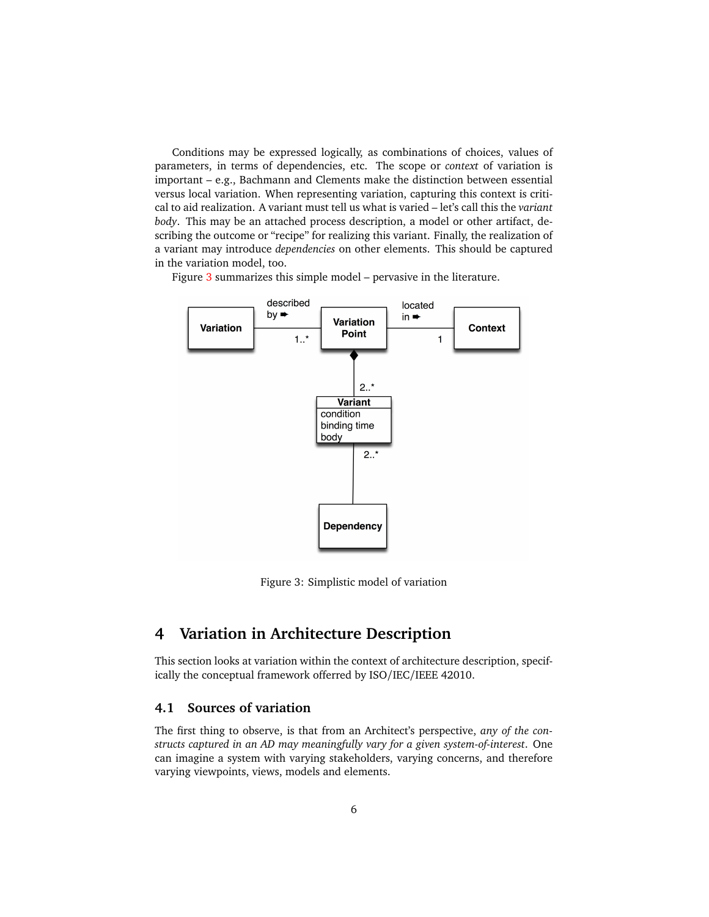Conditions may be expressed logically, as combinations of choices, values of parameters, in terms of dependencies, etc. The scope or *context* of variation is important – e.g., Bachmann and Clements make the distinction between essential versus local variation. When representing variation, capturing this context is critical to aid realization. A variant must tell us what is varied – let's call this the *variant body*. This may be an attached process description, a model or other artifact, describing the outcome or "recipe" for realizing this variant. Finally, the realization of a variant may introduce *dependencies* on other elements. This should be captured in the variation model, too.

Figure [3](#page-5-1) summarizes this simple model – pervasive in the literature.



<span id="page-5-1"></span>Figure 3: Simplistic model of variation

## <span id="page-5-0"></span>**4 Variation in Architecture Description**

This section looks at variation within the context of architecture description, specifically the conceptual framework offerred by ISO/IEC/IEEE 42010.

### **4.1 Sources of variation**

The first thing to observe, is that from an Architect's perspective, *any of the constructs captured in an AD may meaningfully vary for a given system-of-interest*. One can imagine a system with varying stakeholders, varying concerns, and therefore varying viewpoints, views, models and elements.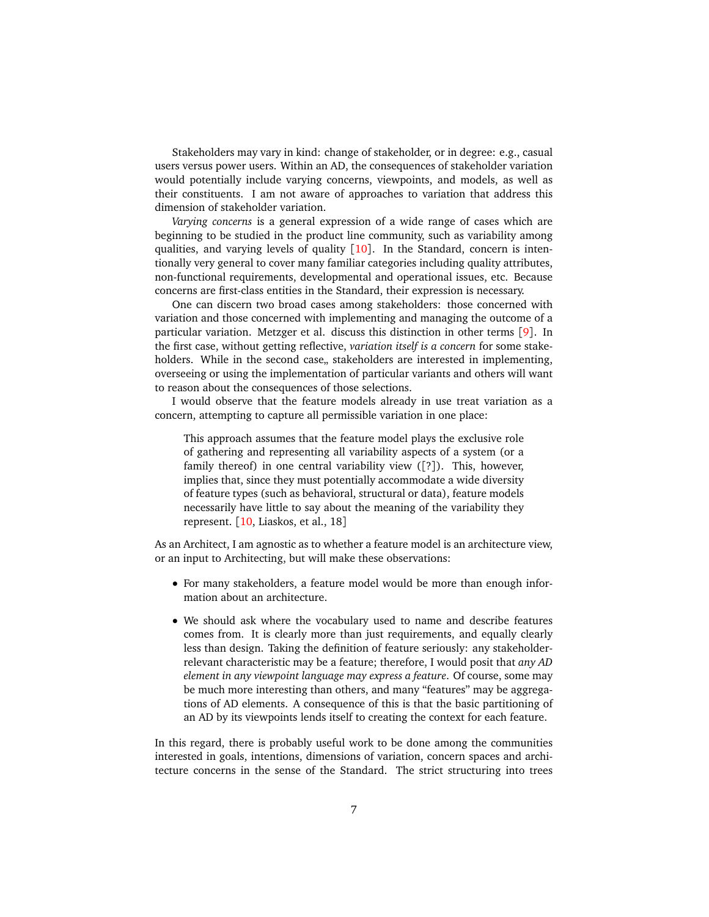Stakeholders may vary in kind: change of stakeholder, or in degree: e.g., casual users versus power users. Within an AD, the consequences of stakeholder variation would potentially include varying concerns, viewpoints, and models, as well as their constituents. I am not aware of approaches to variation that address this dimension of stakeholder variation.

*Varying concerns* is a general expression of a wide range of cases which are beginning to be studied in the product line community, such as variability among qualities, and varying levels of quality  $\lceil 10 \rceil$  $\lceil 10 \rceil$  $\lceil 10 \rceil$ . In the Standard, concern is intentionally very general to cover many familiar categories including quality attributes, non-functional requirements, developmental and operational issues, etc. Because concerns are first-class entities in the Standard, their expression is necessary.

One can discern two broad cases among stakeholders: those concerned with variation and those concerned with implementing and managing the outcome of a particular variation. Metzger et al. discuss this distinction in other terms [[9](#page-9-7)]. In the first case, without getting reflective, *variation itself is a concern* for some stakeholders. While in the second case, stakeholders are interested in implementing, overseeing or using the implementation of particular variants and others will want to reason about the consequences of those selections.

I would observe that the feature models already in use treat variation as a concern, attempting to capture all permissible variation in one place:

This approach assumes that the feature model plays the exclusive role of gathering and representing all variability aspects of a system (or a family thereof) in one central variability view ([?]). This, however, implies that, since they must potentially accommodate a wide diversity of feature types (such as behavioral, structural or data), feature models necessarily have little to say about the meaning of the variability they represent. [[10,](#page-9-9) Liaskos, et al., 18]

As an Architect, I am agnostic as to whether a feature model is an architecture view, or an input to Architecting, but will make these observations:

- For many stakeholders, a feature model would be more than enough information about an architecture.
- We should ask where the vocabulary used to name and describe features comes from. It is clearly more than just requirements, and equally clearly less than design. Taking the definition of feature seriously: any stakeholderrelevant characteristic may be a feature; therefore, I would posit that *any AD element in any viewpoint language may express a feature*. Of course, some may be much more interesting than others, and many "features" may be aggregations of AD elements. A consequence of this is that the basic partitioning of an AD by its viewpoints lends itself to creating the context for each feature.

In this regard, there is probably useful work to be done among the communities interested in goals, intentions, dimensions of variation, concern spaces and architecture concerns in the sense of the Standard. The strict structuring into trees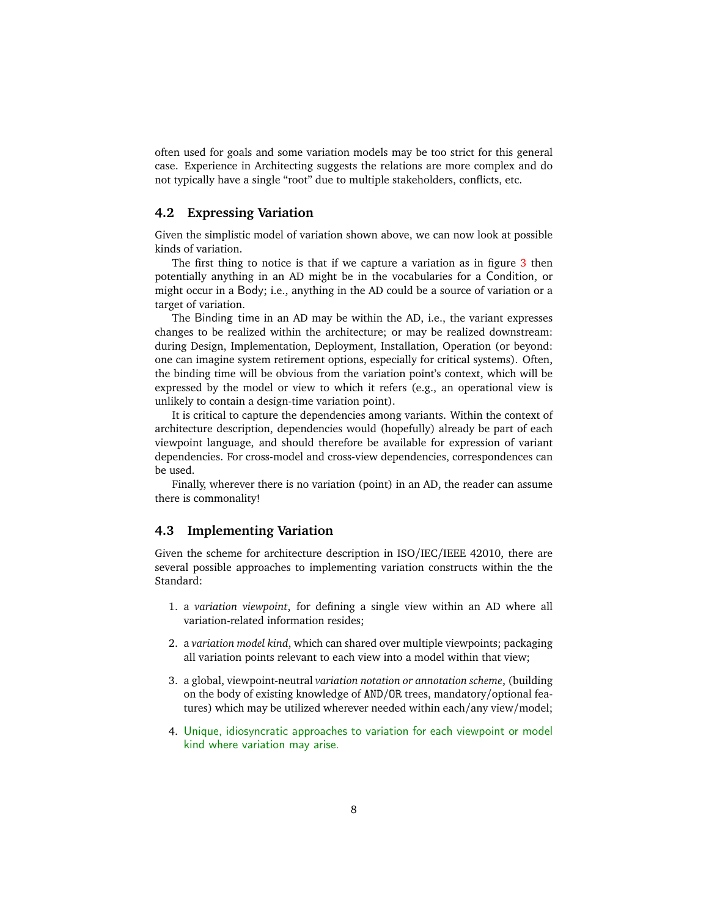often used for goals and some variation models may be too strict for this general case. Experience in Architecting suggests the relations are more complex and do not typically have a single "root" due to multiple stakeholders, conflicts, etc.

#### **4.2 Expressing Variation**

Given the simplistic model of variation shown above, we can now look at possible kinds of variation.

The first thing to notice is that if we capture a variation as in figure [3](#page-5-1) then potentially anything in an AD might be in the vocabularies for a Condition, or might occur in a Body; i.e., anything in the AD could be a source of variation or a target of variation.

The Binding time in an AD may be within the AD, i.e., the variant expresses changes to be realized within the architecture; or may be realized downstream: during Design, Implementation, Deployment, Installation, Operation (or beyond: one can imagine system retirement options, especially for critical systems). Often, the binding time will be obvious from the variation point's context, which will be expressed by the model or view to which it refers (e.g., an operational view is unlikely to contain a design-time variation point).

It is critical to capture the dependencies among variants. Within the context of architecture description, dependencies would (hopefully) already be part of each viewpoint language, and should therefore be available for expression of variant dependencies. For cross-model and cross-view dependencies, correspondences can be used.

Finally, wherever there is no variation (point) in an AD, the reader can assume there is commonality!

#### **4.3 Implementing Variation**

Given the scheme for architecture description in ISO/IEC/IEEE 42010, there are several possible approaches to implementing variation constructs within the the Standard:

- 1. a *variation viewpoint*, for defining a single view within an AD where all variation-related information resides;
- 2. a *variation model kind*, which can shared over multiple viewpoints; packaging all variation points relevant to each view into a model within that view;
- 3. a global, viewpoint-neutral *variation notation or annotation scheme*, (building on the body of existing knowledge of AND/OR trees, mandatory/optional features) which may be utilized wherever needed within each/any view/model;
- 4. Unique, idiosyncratic approaches to variation for each viewpoint or model kind where variation may arise.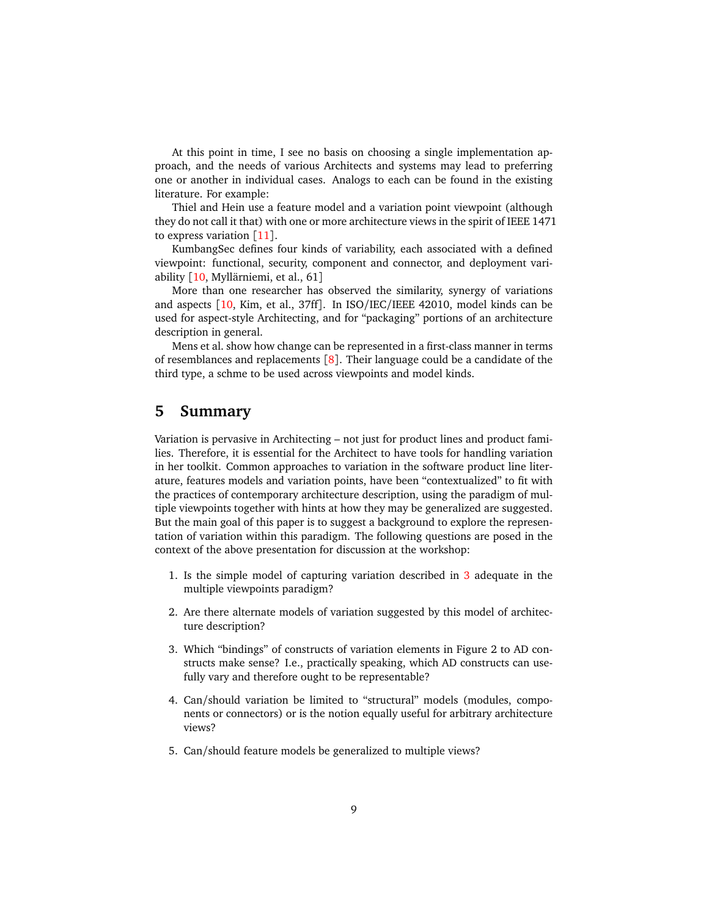At this point in time, I see no basis on choosing a single implementation approach, and the needs of various Architects and systems may lead to preferring one or another in individual cases. Analogs to each can be found in the existing literature. For example:

Thiel and Hein use a feature model and a variation point viewpoint (although they do not call it that) with one or more architecture views in the spirit of IEEE 1471 to express variation  $\lceil 11 \rceil$  $\lceil 11 \rceil$  $\lceil 11 \rceil$ .

KumbangSec defines four kinds of variability, each associated with a defined viewpoint: functional, security, component and connector, and deployment variability [[10,](#page-9-9) Myllärniemi, et al., 61]

More than one researcher has observed the similarity, synergy of variations and aspects [[10,](#page-9-9) Kim, et al., 37ff]. In ISO/IEC/IEEE 42010, model kinds can be used for aspect-style Architecting, and for "packaging" portions of an architecture description in general.

Mens et al. show how change can be represented in a first-class manner in terms of resemblances and replacements  $[8]$  $[8]$  $[8]$ . Their language could be a candidate of the third type, a schme to be used across viewpoints and model kinds.

### **5 Summary**

Variation is pervasive in Architecting – not just for product lines and product families. Therefore, it is essential for the Architect to have tools for handling variation in her toolkit. Common approaches to variation in the software product line literature, features models and variation points, have been "contextualized" to fit with the practices of contemporary architecture description, using the paradigm of multiple viewpoints together with hints at how they may be generalized are suggested. But the main goal of this paper is to suggest a background to explore the representation of variation within this paradigm. The following questions are posed in the context of the above presentation for discussion at the workshop:

- 1. Is the simple model of capturing variation described in [3](#page-4-0) adequate in the multiple viewpoints paradigm?
- 2. Are there alternate models of variation suggested by this model of architecture description?
- 3. Which "bindings" of constructs of variation elements in Figure 2 to AD constructs make sense? I.e., practically speaking, which AD constructs can usefully vary and therefore ought to be representable?
- 4. Can/should variation be limited to "structural" models (modules, components or connectors) or is the notion equally useful for arbitrary architecture views?
- 5. Can/should feature models be generalized to multiple views?